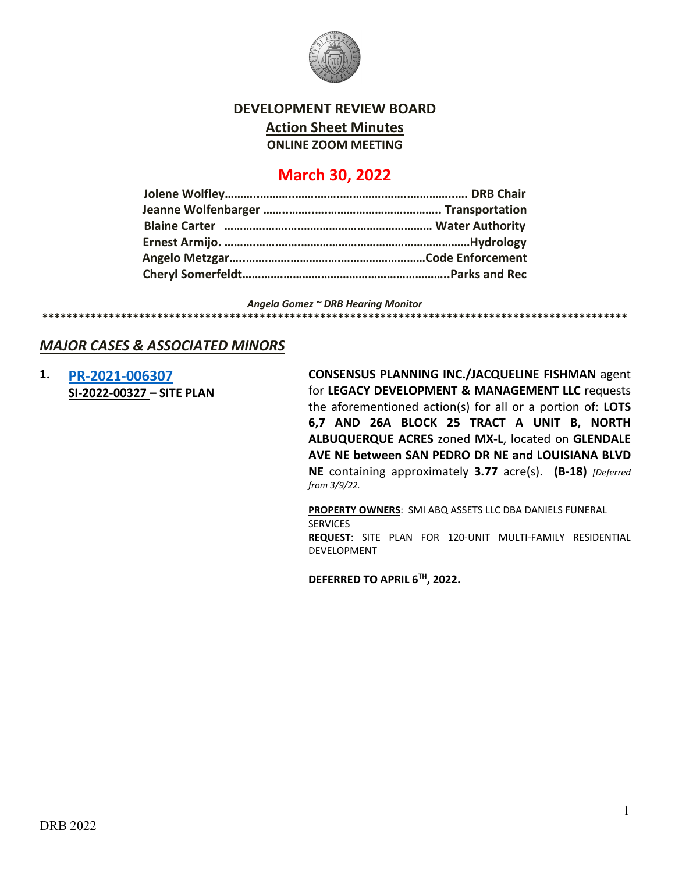

# **DEVELOPMENT REVIEW BOARD Action Sheet Minutes ONLINE ZOOM MEETING**

# **March 30, 2022**

*Angela Gomez ~ DRB Hearing Monitor* **\*\*\*\*\*\*\*\*\*\*\*\*\*\*\*\*\*\*\*\*\*\*\*\*\*\*\*\*\*\*\*\*\*\*\*\*\*\*\*\*\*\*\*\*\*\*\*\*\*\*\*\*\*\*\*\*\*\*\*\*\*\*\*\*\*\*\*\*\*\*\*\*\*\*\*\*\*\*\*\*\*\*\*\*\*\*\*\*\*\*\*\*\*\*\*\*\***

# *MAJOR CASES & ASSOCIATED MINORS*

**1. [PR-2021-006307](http://data.cabq.gov/government/planning/DRB/PR-2021-006307/DRB%20Submittals/) SI-2022-00327 – SITE PLAN**

**CONSENSUS PLANNING INC./JACQUELINE FISHMAN** agent for **LEGACY DEVELOPMENT & MANAGEMENT LLC** requests the aforementioned action(s) for all or a portion of: **LOTS 6,7 AND 26A BLOCK 25 TRACT A UNIT B, NORTH ALBUQUERQUE ACRES** zoned **MX-L**, located on **GLENDALE AVE NE between SAN PEDRO DR NE and LOUISIANA BLVD NE** containing approximately **3.77** acre(s). **(B-18)** *[Deferred from 3/9/22.*

**PROPERTY OWNERS**: SMI ABQ ASSETS LLC DBA DANIELS FUNERAL SERVICES **REQUEST**: SITE PLAN FOR 120-UNIT MULTI-FAMILY RESIDENTIAL DEVELOPMENT

**DEFERRED TO APRIL 6TH, 2022.**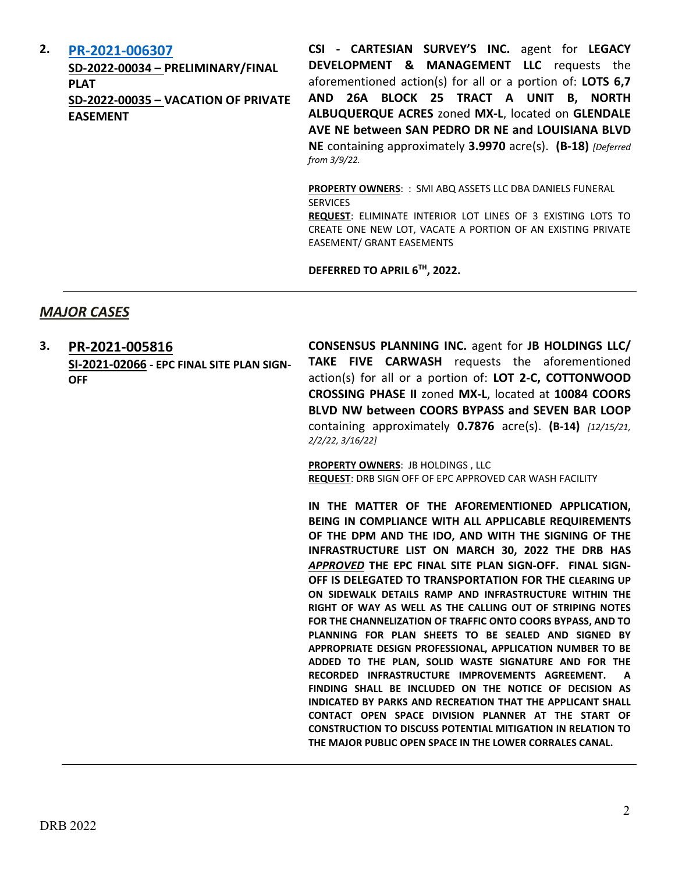### **2. [PR-2021-006307](http://data.cabq.gov/government/planning/DRB/PR-2021-006307/DRB%20Submittals/)**

**SD-2022-00034 – PRELIMINARY/FINAL PLAT SD-2022-00035 – VACATION OF PRIVATE EASEMENT**

**CSI - CARTESIAN SURVEY'S INC.** agent for **LEGACY DEVELOPMENT & MANAGEMENT LLC** requests the aforementioned action(s) for all or a portion of: **LOTS 6,7 AND 26A BLOCK 25 TRACT A UNIT B, NORTH ALBUQUERQUE ACRES** zoned **MX-L**, located on **GLENDALE AVE NE between SAN PEDRO DR NE and LOUISIANA BLVD NE** containing approximately **3.9970** acre(s). **(B-18)** *[Deferred from 3/9/22.*

**PROPERTY OWNERS**: : SMI ABQ ASSETS LLC DBA DANIELS FUNERAL **SERVICES** 

**REQUEST**: ELIMINATE INTERIOR LOT LINES OF 3 EXISTING LOTS TO CREATE ONE NEW LOT, VACATE A PORTION OF AN EXISTING PRIVATE EASEMENT/ GRANT EASEMENTS

**DEFERRED TO APRIL 6TH, 2022.**

## *MAJOR CASES*

**3. [PR-2021-005816](http://data.cabq.gov/government/planning/DRB/PR-2021-005816/DRB%20Submittals/)  SI-2021-02066 - EPC FINAL SITE PLAN SIGN-OFF**

**CONSENSUS PLANNING INC.** agent for **JB HOLDINGS LLC/ TAKE FIVE CARWASH** requests the aforementioned action(s) for all or a portion of: **LOT 2-C, COTTONWOOD CROSSING PHASE II** zoned **MX-L**, located at **10084 COORS BLVD NW between COORS BYPASS and SEVEN BAR LOOP**  containing approximately **0.7876** acre(s). **(B-14)** *[12/15/21, 2/2/22, 3/16/22]*

**PROPERTY OWNERS**: JB HOLDINGS , LLC **REQUEST**: DRB SIGN OFF OF EPC APPROVED CAR WASH FACILITY

**IN THE MATTER OF THE AFOREMENTIONED APPLICATION, BEING IN COMPLIANCE WITH ALL APPLICABLE REQUIREMENTS OF THE DPM AND THE IDO, AND WITH THE SIGNING OF THE INFRASTRUCTURE LIST ON MARCH 30, 2022 THE DRB HAS**  *APPROVED* **THE EPC FINAL SITE PLAN SIGN-OFF. FINAL SIGN-OFF IS DELEGATED TO TRANSPORTATION FOR THE CLEARING UP ON SIDEWALK DETAILS RAMP AND INFRASTRUCTURE WITHIN THE RIGHT OF WAY AS WELL AS THE CALLING OUT OF STRIPING NOTES FOR THE CHANNELIZATION OF TRAFFIC ONTO COORS BYPASS, AND TO PLANNING FOR PLAN SHEETS TO BE SEALED AND SIGNED BY APPROPRIATE DESIGN PROFESSIONAL, APPLICATION NUMBER TO BE ADDED TO THE PLAN, SOLID WASTE SIGNATURE AND FOR THE RECORDED INFRASTRUCTURE IMPROVEMENTS AGREEMENT. A FINDING SHALL BE INCLUDED ON THE NOTICE OF DECISION AS INDICATED BY PARKS AND RECREATION THAT THE APPLICANT SHALL CONTACT OPEN SPACE DIVISION PLANNER AT THE START OF CONSTRUCTION TO DISCUSS POTENTIAL MITIGATION IN RELATION TO THE MAJOR PUBLIC OPEN SPACE IN THE LOWER CORRALES CANAL.**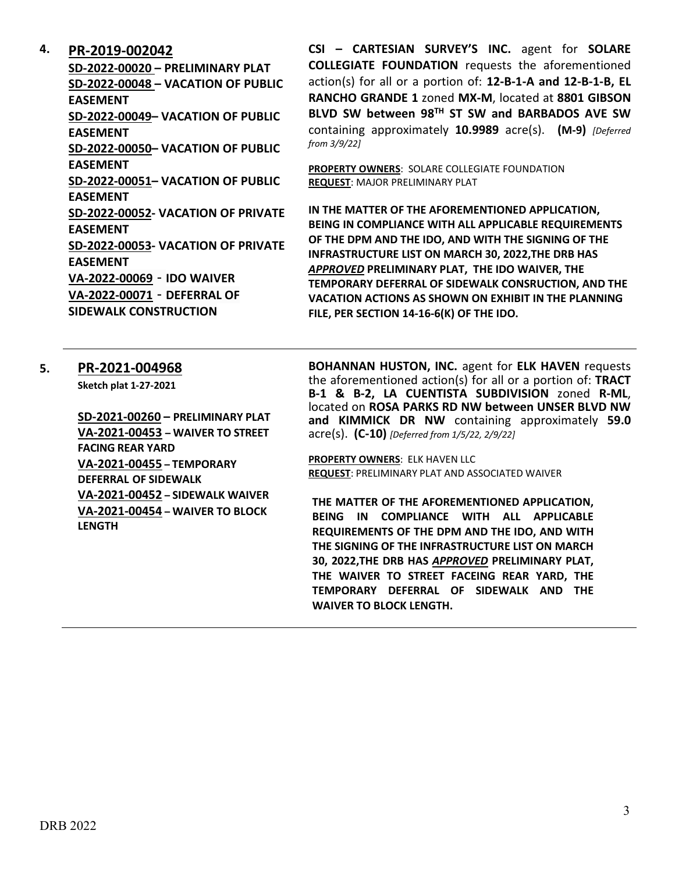### **4. [PR-2019-002042](http://data.cabq.gov/government/planning/DRB/PR-2019-002042/DRB%20Submittals/)**

**SD-2022-00020 – PRELIMINARY PLAT SD-2022-00048 – VACATION OF PUBLIC EASEMENT SD-2022-00049– VACATION OF PUBLIC EASEMENT SD-2022-00050– VACATION OF PUBLIC EASEMENT SD-2022-00051– VACATION OF PUBLIC EASEMENT SD-2022-00052- VACATION OF PRIVATE EASEMENT SD-2022-00053- VACATION OF PRIVATE EASEMENT VA-2022-00069** - **IDO WAIVER VA-2022-00071** - **DEFERRAL OF SIDEWALK CONSTRUCTION**

**CSI – CARTESIAN SURVEY'S INC.** agent for **SOLARE COLLEGIATE FOUNDATION** requests the aforementioned action(s) for all or a portion of: **12-B-1-A and 12-B-1-B, EL RANCHO GRANDE 1** zoned **MX-M**, located at **8801 GIBSON BLVD SW between 98TH ST SW and BARBADOS AVE SW**  containing approximately **10.9989** acre(s). **(M-9)** *[Deferred from 3/9/22]*

**PROPERTY OWNERS**: SOLARE COLLEGIATE FOUNDATION **REQUEST**: MAJOR PRELIMINARY PLAT

**IN THE MATTER OF THE AFOREMENTIONED APPLICATION, BEING IN COMPLIANCE WITH ALL APPLICABLE REQUIREMENTS OF THE DPM AND THE IDO, AND WITH THE SIGNING OF THE INFRASTRUCTURE LIST ON MARCH 30, 2022,THE DRB HAS**  *APPROVED* **PRELIMINARY PLAT, THE IDO WAIVER, THE TEMPORARY DEFERRAL OF SIDEWALK CONSRUCTION, AND THE VACATION ACTIONS AS SHOWN ON EXHIBIT IN THE PLANNING FILE, PER SECTION 14-16-6(K) OF THE IDO.**

### **5. [PR-2021-004968](http://data.cabq.gov/government/planning/DRB/PR-2021-004968/DRB%20Submittals/PR-2021-004968_Mar_30_2022_Supp/)**

**Sketch plat 1-27-2021**

**SD-2021-00260 – PRELIMINARY PLAT VA-2021-00453 – WAIVER TO STREET FACING REAR YARD VA-2021-00455 – TEMPORARY DEFERRAL OF SIDEWALK VA-2021-00452 – SIDEWALK WAIVER VA-2021-00454 – WAIVER TO BLOCK LENGTH**

**BOHANNAN HUSTON, INC.** agent for **ELK HAVEN** requests the aforementioned action(s) for all or a portion of: **TRACT B-1 & B-2, LA CUENTISTA SUBDIVISION** zoned **R-ML**, located on **ROSA PARKS RD NW between UNSER BLVD NW and KIMMICK DR NW** containing approximately **59.0**  acre(s). **(C-10)** *[Deferred from 1/5/22, 2/9/22]*

**PROPERTY OWNERS**: ELK HAVEN LLC **REQUEST**: PRELIMINARY PLAT AND ASSOCIATED WAIVER

**THE MATTER OF THE AFOREMENTIONED APPLICATION, BEING IN COMPLIANCE WITH ALL APPLICABLE REQUIREMENTS OF THE DPM AND THE IDO, AND WITH THE SIGNING OF THE INFRASTRUCTURE LIST ON MARCH 30, 2022,THE DRB HAS** *APPROVED* **PRELIMINARY PLAT, THE WAIVER TO STREET FACEING REAR YARD, THE TEMPORARY DEFERRAL OF SIDEWALK AND THE WAIVER TO BLOCK LENGTH.**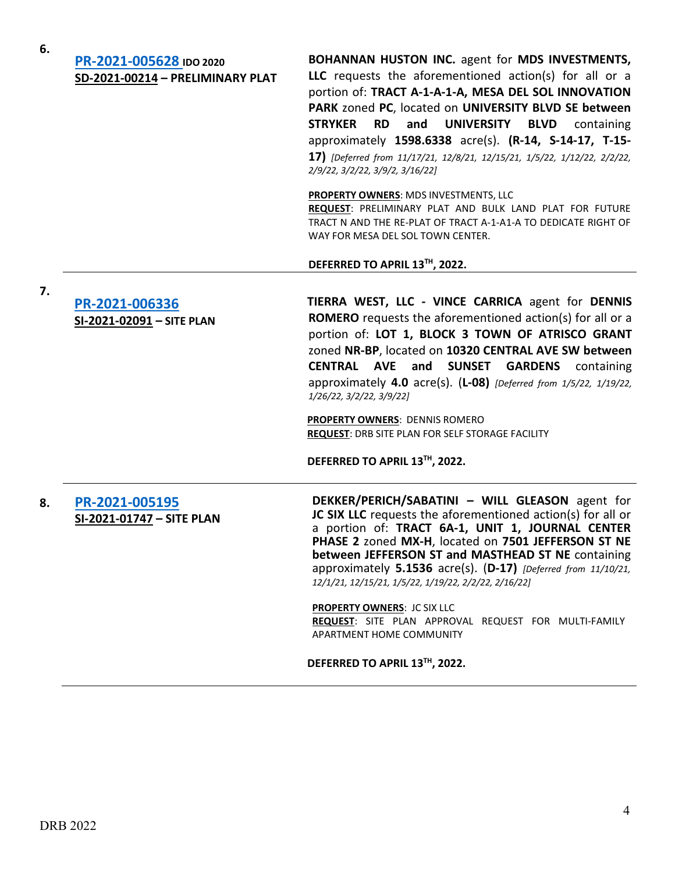**7.**

| PR-2021-005628 IDO 2020          |
|----------------------------------|
| SD-2021-00214 - PRELIMINARY PLAT |

**BOHANNAN HUSTON INC.** agent for **MDS INVESTMENTS, LLC** requests the aforementioned action(s) for all or a portion of: **TRACT A-1-A-1-A, MESA DEL SOL INNOVATION PARK** zoned **PC**, located on **UNIVERSITY BLVD SE between STRYKER RD and UNIVERSITY BLVD** containing approximately **1598.6338** acre(s). **(R-14, S-14-17, T-15- 17)** *[Deferred from 11/17/21, 12/8/21, 12/15/21, 1/5/22, 1/12/22, 2/2/22, 2/9/22, 3/2/22, 3/9/2, 3/16/22]*

**PROPERTY OWNERS**: MDS INVESTMENTS, LLC

**REQUEST**: PRELIMINARY PLAT AND BULK LAND PLAT FOR FUTURE TRACT N AND THE RE-PLAT OF TRACT A-1-A1-A TO DEDICATE RIGHT OF WAY FOR MESA DEL SOL TOWN CENTER.

#### **DEFERRED TO APRIL 13TH, 2022.**

**[PR-2021-006336](http://data.cabq.gov/government/planning/DRB/PR-2021-006336/DRB%20Submittals/) SI-2021-02091 – SITE PLAN**

**TIERRA WEST, LLC - VINCE CARRICA** agent for **DENNIS ROMERO** requests the aforementioned action(s) for all or a portion of: **LOT 1, BLOCK 3 TOWN OF ATRISCO GRANT**  zoned **NR-BP**, located on **10320 CENTRAL AVE SW between CENTRAL AVE and SUNSET GARDENS** containing approximately **4.0** acre(s). (**L-08)** *[Deferred from 1/5/22, 1/19/22, 1/26/22, 3/2/22, 3/9/22]*

**PROPERTY OWNERS**: DENNIS ROMERO **REQUEST**: DRB SITE PLAN FOR SELF STORAGE FACILITY

**DEFERRED TO APRIL 13TH, 2022.**

**8. [PR-2021-005195](http://data.cabq.gov/government/planning/DRB/PR-2021-005195/DRB%20Submittals/) SI-2021-01747 – SITE PLAN** **DEKKER/PERICH/SABATINI – WILL GLEASON** agent for **JC SIX LLC** requests the aforementioned action(s) for all or a portion of: **TRACT 6A-1, UNIT 1, JOURNAL CENTER PHASE 2** zoned **MX-H**, located on **7501 JEFFERSON ST NE between JEFFERSON ST and MASTHEAD ST NE** containing approximately **5.1536** acre(s). (**D-17)** *[Deferred from 11/10/21, 12/1/21, 12/15/21, 1/5/22, 1/19/22, 2/2/22, 2/16/22]*

**PROPERTY OWNERS**: JC SIX LLC **REQUEST**: SITE PLAN APPROVAL REQUEST FOR MULTI-FAMILY APARTMENT HOME COMMUNITY

**DEFERRED TO APRIL 13TH, 2022.**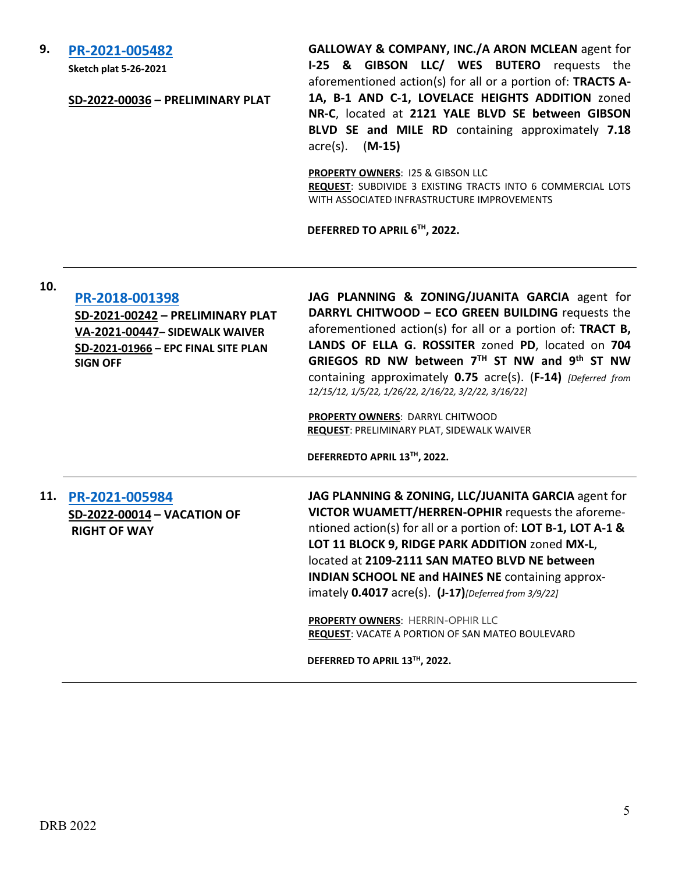#### **9. [PR-2021-005482](http://data.cabq.gov/government/planning/DRB/PR-2021-005482/DRB%20Submittals/PR-2021-005482_March_30_2022%20(PP)/2121YaleBlvdSE_DRB_PrelimPlat_SubmittalDocs_20220218(1).pdf)**

**Sketch plat 5-26-2021**

#### **SD-2022-00036 – PRELIMINARY PLAT**

**GALLOWAY & COMPANY, INC./A ARON MCLEAN** agent for **I-25 & GIBSON LLC/ WES BUTERO** requests the aforementioned action(s) for all or a portion of: **TRACTS A-1A, B-1 AND C-1, LOVELACE HEIGHTS ADDITION** zoned **NR-C**, located at **2121 YALE BLVD SE between GIBSON BLVD SE and MILE RD** containing approximately **7.18** acre(s). (**M-15)**

**PROPERTY OWNERS**: I25 & GIBSON LLC

**REQUEST**: SUBDIVIDE 3 EXISTING TRACTS INTO 6 COMMERCIAL LOTS WITH ASSOCIATED INFRASTRUCTURE IMPROVEMENTS

**INDIAN SCHOOL NE and HAINES NE** containing approx-

imately **0.4017** acre(s). **(J-17)***[Deferred from 3/9/22]*

**REQUEST**: VACATE A PORTION OF SAN MATEO BOULEVARD

**PROPERTY OWNERS**: HERRIN-OPHIR LLC

**DEFERRED TO APRIL 13TH, 2022.**

**DEFERRED TO APRIL 6TH, 2022.**

### **10.**

| Tņ. | PR-2018-001398<br>SD-2021-00242 - PRELIMINARY PLAT<br>VA-2021-00447- SIDEWALK WAIVER<br>SD-2021-01966 - EPC FINAL SITE PLAN<br><b>SIGN OFF</b> | JAG PLANNING & ZONING/JUANITA GARCIA agent for<br>DARRYL CHITWOOD - ECO GREEN BUILDING requests the<br>aforementioned action(s) for all or a portion of: TRACT B,<br>LANDS OF ELLA G. ROSSITER zoned PD, located on 704<br>GRIEGOS RD NW between $7TH$ ST NW and 9 <sup>th</sup> ST NW<br>containing approximately 0.75 acre(s). (F-14) [Deferred from<br>12/15/12, 1/5/22, 1/26/22, 2/16/22, 3/2/22, 3/16/22]<br><b>PROPERTY OWNERS: DARRYL CHITWOOD</b><br><b>REQUEST: PRELIMINARY PLAT, SIDEWALK WAIVER</b><br>DEFERREDTO APRIL 13TH, 2022. |
|-----|------------------------------------------------------------------------------------------------------------------------------------------------|------------------------------------------------------------------------------------------------------------------------------------------------------------------------------------------------------------------------------------------------------------------------------------------------------------------------------------------------------------------------------------------------------------------------------------------------------------------------------------------------------------------------------------------------|
| 11. | PR-2021-005984<br>SD-2022-00014 - VACATION OF<br><b>RIGHT OF WAY</b>                                                                           | JAG PLANNING & ZONING, LLC/JUANITA GARCIA agent for<br>VICTOR WUAMETT/HERREN-OPHIR requests the aforeme-<br>ntioned action(s) for all or a portion of: LOT B-1, LOT A-1 &<br>LOT 11 BLOCK 9, RIDGE PARK ADDITION zoned MX-L,<br>located at 2109-2111 SAN MATEO BLVD NE between                                                                                                                                                                                                                                                                 |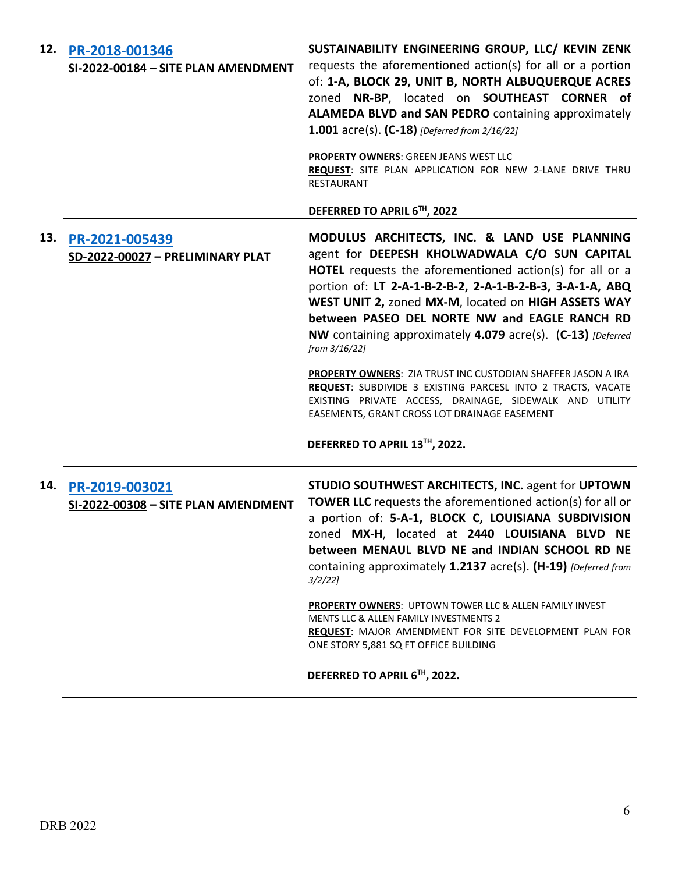| 12. | PR-2018-001346<br>SI-2022-00184 - SITE PLAN AMENDMENT     | SUSTAINABILITY ENGINEERING GROUP, LLC/ KEVIN ZENK<br>requests the aforementioned action(s) for all or a portion<br>of: 1-A, BLOCK 29, UNIT B, NORTH ALBUQUERQUE ACRES<br>zoned NR-BP, located on SOUTHEAST CORNER of<br>ALAMEDA BLVD and SAN PEDRO containing approximately<br><b>1.001</b> acre(s). $(C-18)$ [Deferred from 2/16/22]<br>PROPERTY OWNERS: GREEN JEANS WEST LLC                                 |
|-----|-----------------------------------------------------------|----------------------------------------------------------------------------------------------------------------------------------------------------------------------------------------------------------------------------------------------------------------------------------------------------------------------------------------------------------------------------------------------------------------|
|     |                                                           | REQUEST: SITE PLAN APPLICATION FOR NEW 2-LANE DRIVE THRU<br><b>RESTAURANT</b>                                                                                                                                                                                                                                                                                                                                  |
|     |                                                           | DEFERRED TO APRIL 6TH, 2022                                                                                                                                                                                                                                                                                                                                                                                    |
| 13. | PR-2021-005439<br>SD-2022-00027 - PRELIMINARY PLAT        | MODULUS ARCHITECTS, INC. & LAND USE PLANNING<br>agent for DEEPESH KHOLWADWALA C/O SUN CAPITAL<br>HOTEL requests the aforementioned action(s) for all or a<br>portion of: LT 2-A-1-B-2-B-2, 2-A-1-B-2-B-3, 3-A-1-A, ABQ<br>WEST UNIT 2, zoned MX-M, located on HIGH ASSETS WAY<br>between PASEO DEL NORTE NW and EAGLE RANCH RD<br>NW containing approximately 4.079 acre(s). (C-13) [Deferred<br>from 3/16/22] |
|     |                                                           | <b>PROPERTY OWNERS: ZIA TRUST INC CUSTODIAN SHAFFER JASON A IRA</b><br>REQUEST: SUBDIVIDE 3 EXISTING PARCESL INTO 2 TRACTS, VACATE<br>EXISTING PRIVATE ACCESS, DRAINAGE, SIDEWALK AND UTILITY<br>EASEMENTS, GRANT CROSS LOT DRAINAGE EASEMENT<br>DEFERRED TO APRIL 13™, 2022.                                                                                                                                  |
|     |                                                           |                                                                                                                                                                                                                                                                                                                                                                                                                |
|     | 14. PR-2019-003021<br>SI-2022-00308 - SITE PLAN AMENDMENT | STUDIO SOUTHWEST ARCHITECTS, INC. agent for UPTOWN<br><b>TOWER LLC</b> requests the aforementioned action(s) for all or<br>a portion of: 5-A-1, BLOCK C, LOUISIANA SUBDIVISION<br>zoned MX-H, located at 2440 LOUISIANA BLVD NE<br>between MENAUL BLVD NE and INDIAN SCHOOL RD NE<br>containing approximately 1.2137 acre(s). (H-19) [Deferred from<br>$3/2/22$ ]                                              |
|     |                                                           | PROPERTY OWNERS: UPTOWN TOWER LLC & ALLEN FAMILY INVEST<br><b>MENTS LLC &amp; ALLEN FAMILY INVESTMENTS 2</b><br>REQUEST: MAJOR AMENDMENT FOR SITE DEVELOPMENT PLAN FOR<br>ONE STORY 5,881 SQ FT OFFICE BUILDING                                                                                                                                                                                                |
|     |                                                           | DEFERRED TO APRIL 6TH, 2022.                                                                                                                                                                                                                                                                                                                                                                                   |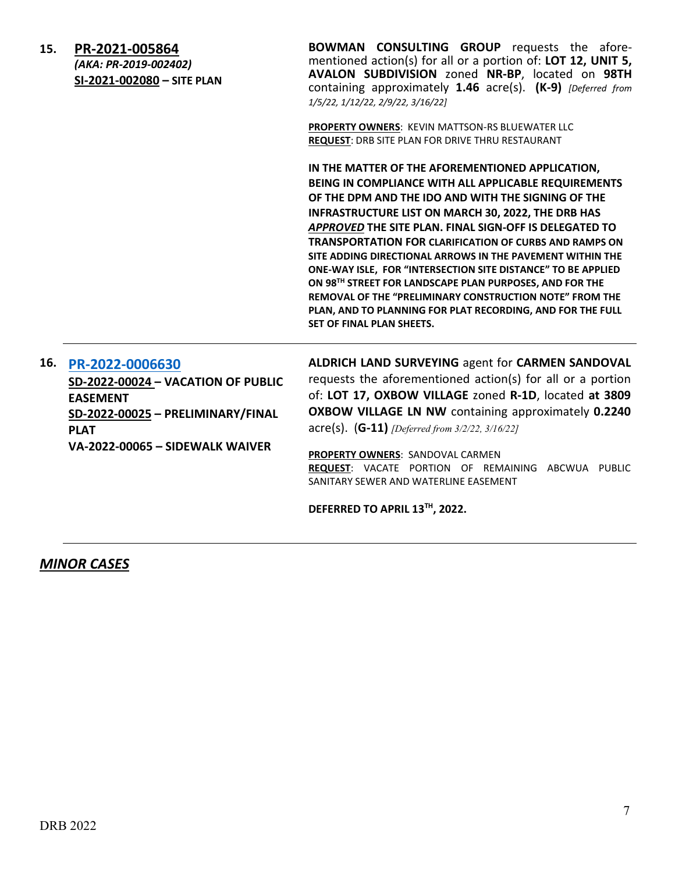| 15. | PR-2021-005864<br>(AKA: PR-2019-002402)<br>SI-2021-002080 - SITE PLAN                                                                                                  | <b>BOWMAN CONSULTING GROUP</b> requests the afore-<br>mentioned action(s) for all or a portion of: LOT 12, UNIT 5,<br>AVALON SUBDIVISION zoned NR-BP, located on 98TH<br>containing approximately 1.46 acre(s). (K-9) [Deferred from<br>1/5/22, 1/12/22, 2/9/22, 3/16/22]                                                                                                                                                                                                                                                                                                                                                                                                                                   |
|-----|------------------------------------------------------------------------------------------------------------------------------------------------------------------------|-------------------------------------------------------------------------------------------------------------------------------------------------------------------------------------------------------------------------------------------------------------------------------------------------------------------------------------------------------------------------------------------------------------------------------------------------------------------------------------------------------------------------------------------------------------------------------------------------------------------------------------------------------------------------------------------------------------|
|     |                                                                                                                                                                        | PROPERTY OWNERS: KEVIN MATTSON-RS BLUEWATER LLC<br><b>REQUEST: DRB SITE PLAN FOR DRIVE THRU RESTAURANT</b>                                                                                                                                                                                                                                                                                                                                                                                                                                                                                                                                                                                                  |
|     |                                                                                                                                                                        | IN THE MATTER OF THE AFOREMENTIONED APPLICATION,<br>BEING IN COMPLIANCE WITH ALL APPLICABLE REQUIREMENTS<br>OF THE DPM AND THE IDO AND WITH THE SIGNING OF THE<br><b>INFRASTRUCTURE LIST ON MARCH 30, 2022, THE DRB HAS</b><br>APPROVED THE SITE PLAN. FINAL SIGN-OFF IS DELEGATED TO<br><b>TRANSPORTATION FOR CLARIFICATION OF CURBS AND RAMPS ON</b><br>SITE ADDING DIRECTIONAL ARROWS IN THE PAVEMENT WITHIN THE<br>ONE-WAY ISLE, FOR "INTERSECTION SITE DISTANCE" TO BE APPLIED<br>ON 98TH STREET FOR LANDSCAPE PLAN PURPOSES, AND FOR THE<br>REMOVAL OF THE "PRELIMINARY CONSTRUCTION NOTE" FROM THE<br>PLAN, AND TO PLANNING FOR PLAT RECORDING, AND FOR THE FULL<br><b>SET OF FINAL PLAN SHEETS.</b> |
| 16. | PR-2022-0006630<br>SD-2022-00024 - VACATION OF PUBLIC<br><b>EASEMENT</b><br>SD-2022-00025 - PRELIMINARY/FINAL<br><b>PLAT</b><br><b>VA-2022-00065 - SIDEWALK WAIVER</b> | ALDRICH LAND SURVEYING agent for CARMEN SANDOVAL<br>requests the aforementioned action(s) for all or a portion<br>of: LOT 17, OXBOW VILLAGE zoned R-1D, located at 3809<br>OXBOW VILLAGE LN NW containing approximately 0.2240<br>$\text{acre(s)}.$ (G-11) [Deferred from 3/2/22, 3/16/22]<br>PROPERTY OWNERS: SANDOVAL CARMEN<br>REQUEST: VACATE PORTION OF REMAINING ABCWUA PUBLIC<br>SANITARY SEWER AND WATERLINE EASEMENT<br>DEFERRED TO APRIL 13TH, 2022.                                                                                                                                                                                                                                              |
|     |                                                                                                                                                                        |                                                                                                                                                                                                                                                                                                                                                                                                                                                                                                                                                                                                                                                                                                             |

# *MINOR CASES*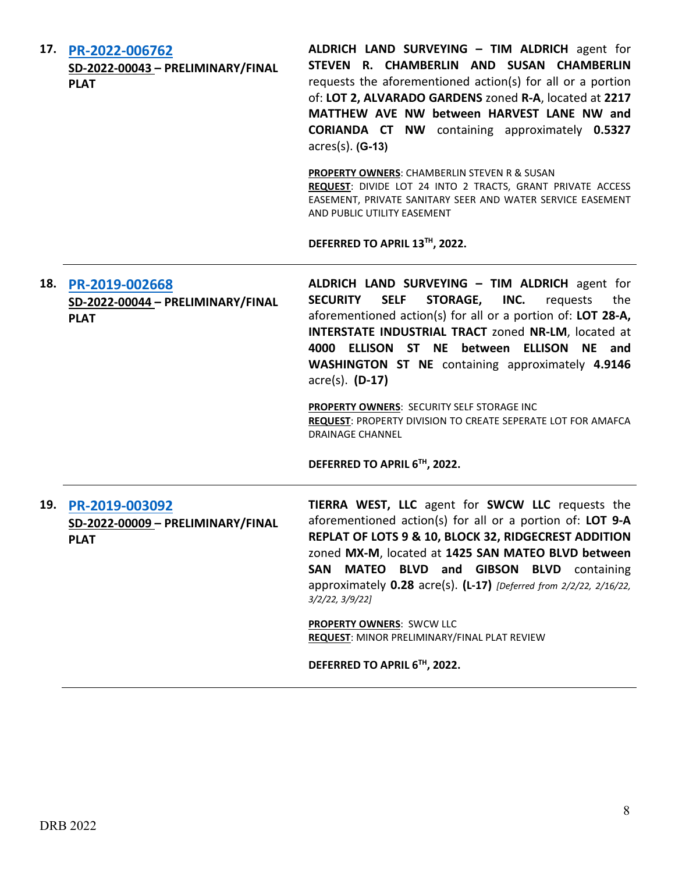|     | 17. PR-2022-006762<br>SD-2022-00043 - PRELIMINARY/FINAL<br><b>PLAT</b> | ALDRICH LAND SURVEYING - TIM ALDRICH agent for<br>STEVEN R. CHAMBERLIN AND SUSAN CHAMBERLIN<br>requests the aforementioned action(s) for all or a portion<br>of: LOT 2, ALVARADO GARDENS zoned R-A, located at 2217<br>MATTHEW AVE NW between HARVEST LANE NW and<br><b>CORIANDA CT NW</b> containing approximately 0.5327<br>$\arccos(s)$ . (G-13)<br><b>PROPERTY OWNERS: CHAMBERLIN STEVEN R &amp; SUSAN</b><br>REQUEST: DIVIDE LOT 24 INTO 2 TRACTS, GRANT PRIVATE ACCESS<br>EASEMENT, PRIVATE SANITARY SEER AND WATER SERVICE EASEMENT<br>AND PUBLIC UTILITY EASEMENT                              |
|-----|------------------------------------------------------------------------|--------------------------------------------------------------------------------------------------------------------------------------------------------------------------------------------------------------------------------------------------------------------------------------------------------------------------------------------------------------------------------------------------------------------------------------------------------------------------------------------------------------------------------------------------------------------------------------------------------|
|     |                                                                        | DEFERRED TO APRIL 13™, 2022.                                                                                                                                                                                                                                                                                                                                                                                                                                                                                                                                                                           |
| 18. | PR-2019-002668<br>SD-2022-00044 - PRELIMINARY/FINAL<br><b>PLAT</b>     | ALDRICH LAND SURVEYING - TIM ALDRICH agent for<br><b>SECURITY</b><br><b>SELF</b><br><b>STORAGE,</b><br>INC.<br>requests<br>the<br>aforementioned action(s) for all or a portion of: LOT 28-A,<br>INTERSTATE INDUSTRIAL TRACT zoned NR-LM, located at<br><b>ELLISON ST NE between</b><br><b>ELLISON</b><br>4000<br><b>NE</b><br>and<br><b>WASHINGTON ST NE</b> containing approximately 4.9146<br>$\arccos(5)$ . (D-17)<br>PROPERTY OWNERS: SECURITY SELF STORAGE INC<br><b>REQUEST: PROPERTY DIVISION TO CREATE SEPERATE LOT FOR AMAFCA</b><br><b>DRAINAGE CHANNEL</b><br>DEFERRED TO APRIL 6TH, 2022. |
|     | 19. PR-2019-003092<br>SD-2022-00009 - PRELIMINARY/FINAL<br><b>PLAT</b> | TIERRA WEST, LLC agent for SWCW LLC requests the<br>aforementioned action(s) for all or a portion of: LOT 9-A<br>REPLAT OF LOTS 9 & 10, BLOCK 32, RIDGECREST ADDITION<br>zoned MX-M, located at 1425 SAN MATEO BLVD between<br>MATEO BLVD and GIBSON BLVD containing<br><b>SAN</b><br>approximately 0.28 acre(s). (L-17) [Deferred from 2/2/22, 2/16/22,<br>3/2/22, 3/9/22<br><b>PROPERTY OWNERS: SWCW LLC</b><br>REQUEST: MINOR PRELIMINARY/FINAL PLAT REVIEW                                                                                                                                         |
|     |                                                                        | DEFERRED TO APRIL 6TH, 2022.                                                                                                                                                                                                                                                                                                                                                                                                                                                                                                                                                                           |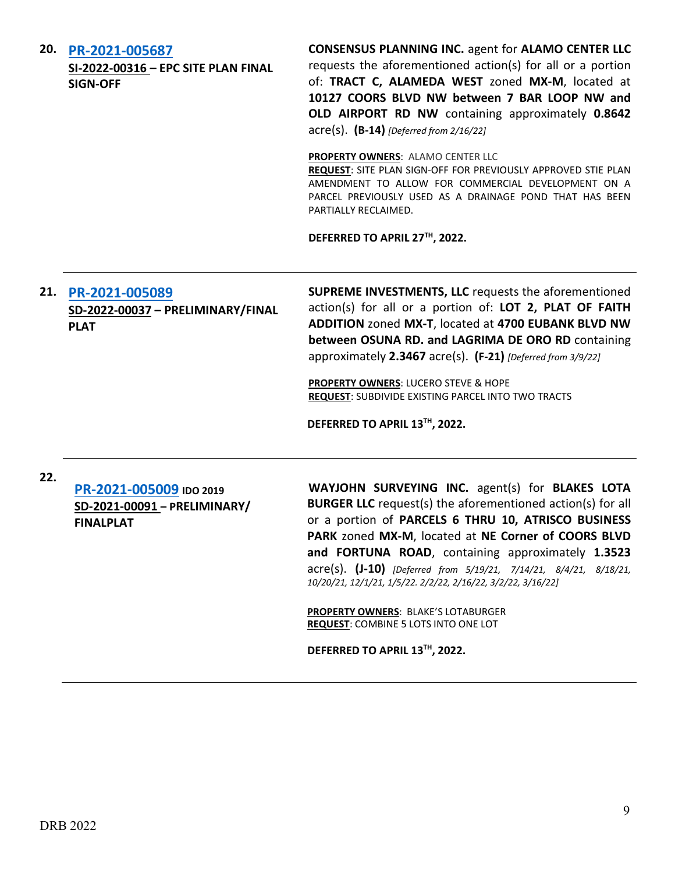|     | 20. PR-2021-005687<br>SI-2022-00316 - EPC SITE PLAN FINAL<br><b>SIGN-OFF</b> | <b>CONSENSUS PLANNING INC. agent for ALAMO CENTER LLC</b><br>requests the aforementioned action(s) for all or a portion<br>of: TRACT C, ALAMEDA WEST zoned MX-M, located at<br>10127 COORS BLVD NW between 7 BAR LOOP NW and<br>OLD AIRPORT RD NW containing approximately 0.8642<br>$\text{acre}(s)$ . $(B-14)$ [Deferred from 2/16/22]                                                                                          |
|-----|------------------------------------------------------------------------------|-----------------------------------------------------------------------------------------------------------------------------------------------------------------------------------------------------------------------------------------------------------------------------------------------------------------------------------------------------------------------------------------------------------------------------------|
|     |                                                                              | PROPERTY OWNERS: ALAMO CENTER LLC<br>REQUEST: SITE PLAN SIGN-OFF FOR PREVIOUSLY APPROVED STIE PLAN<br>AMENDMENT TO ALLOW FOR COMMERCIAL DEVELOPMENT ON A<br>PARCEL PREVIOUSLY USED AS A DRAINAGE POND THAT HAS BEEN<br>PARTIALLY RECLAIMED.                                                                                                                                                                                       |
|     |                                                                              | DEFERRED TO APRIL 27TH, 2022.                                                                                                                                                                                                                                                                                                                                                                                                     |
|     | 21. PR-2021-005089<br>SD-2022-00037 - PRELIMINARY/FINAL<br><b>PLAT</b>       | <b>SUPREME INVESTMENTS, LLC</b> requests the aforementioned<br>action(s) for all or a portion of: LOT 2, PLAT OF FAITH<br>ADDITION zoned MX-T, located at 4700 EUBANK BLVD NW<br>between OSUNA RD. and LAGRIMA DE ORO RD containing<br>approximately 2.3467 acre(s). (F-21) [Deferred from 3/9/22]<br>PROPERTY OWNERS: LUCERO STEVE & HOPE<br>REQUEST: SUBDIVIDE EXISTING PARCEL INTO TWO TRACTS<br>DEFERRED TO APRIL 13TH, 2022. |
| 22. | PR-2021-005009 IDO 2019<br>SD-2021-00091 - PRELIMINARY/<br><b>FINALPLAT</b>  | WAYJOHN SURVEYING INC. agent(s) for BLAKES LOTA<br><b>BURGER LLC</b> request(s) the aforementioned action(s) for all<br>or a portion of PARCELS 6 THRU 10, ATRISCO BUSINESS<br>PARK zoned MX-M, located at NE Corner of COORS BLVD<br>and FORTUNA ROAD, containing approximately 1.3523<br>acre(s). (J-10) [Deferred from 5/19/21, 7/14/21, 8/4/21, 8/18/21,<br>10/20/21, 12/1/21, 1/5/22. 2/2/22, 2/16/22, 3/2/22, 3/16/22]      |

**PROPERTY OWNERS**: BLAKE'S LOTABURGER **REQUEST**: COMBINE 5 LOTS INTO ONE LOT

**DEFERRED TO APRIL 13TH, 2022.**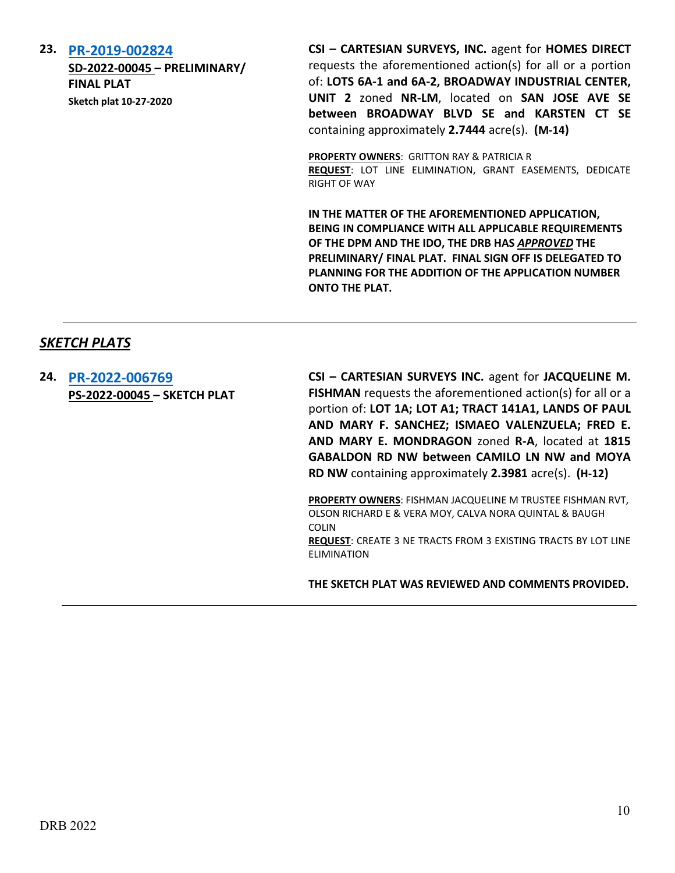### **23. [PR-2019-002824](http://data.cabq.gov/government/planning/DRB/PR-2019-002824/DRB%20Submittals/)**

**SD-2022-00045 – PRELIMINARY/ FINAL PLAT Sketch plat 10-27-2020**

**CSI – CARTESIAN SURVEYS, INC.** agent for **HOMES DIRECT** requests the aforementioned action(s) for all or a portion of: **LOTS 6A-1 and 6A-2, BROADWAY INDUSTRIAL CENTER, UNIT 2** zoned **NR-LM**, located on **SAN JOSE AVE SE between BROADWAY BLVD SE and KARSTEN CT SE**  containing approximately **2.7444** acre(s). **(M-14)**

**PROPERTY OWNERS**: GRITTON RAY & PATRICIA R **REQUEST**: LOT LINE ELIMINATION, GRANT EASEMENTS, DEDICATE RIGHT OF WAY

**IN THE MATTER OF THE AFOREMENTIONED APPLICATION, BEING IN COMPLIANCE WITH ALL APPLICABLE REQUIREMENTS OF THE DPM AND THE IDO, THE DRB HAS** *APPROVED* **THE PRELIMINARY/ FINAL PLAT. FINAL SIGN OFF IS DELEGATED TO PLANNING FOR THE ADDITION OF THE APPLICATION NUMBER ONTO THE PLAT.**

# *SKETCH PLATS*

**24. [PR-2022-006769](http://data.cabq.gov/government/planning/DRB/PR-2022-006769/DRB%20Submittals/PR-2022-006769_March_30_2022%20(Sketch)/Application/DRB_App_Sketch_Plat_201465.pdf) PS-2022-00045 – SKETCH PLAT** **CSI – CARTESIAN SURVEYS INC.** agent for **JACQUELINE M. FISHMAN** requests the aforementioned action(s) for all or a portion of: **LOT 1A; LOT A1; TRACT 141A1, LANDS OF PAUL AND MARY F. SANCHEZ; ISMAEO VALENZUELA; FRED E. AND MARY E. MONDRAGON** zoned **R-A**, located at **1815 GABALDON RD NW between CAMILO LN NW and MOYA RD NW** containing approximately **2.3981** acre(s). **(H-12)**

**PROPERTY OWNERS**: FISHMAN JACQUELINE M TRUSTEE FISHMAN RVT, OLSON RICHARD E & VERA MOY, CALVA NORA QUINTAL & BAUGH COLIN **REQUEST**: CREATE 3 NE TRACTS FROM 3 EXISTING TRACTS BY LOT LINE ELIMINATION

**THE SKETCH PLAT WAS REVIEWED AND COMMENTS PROVIDED.**